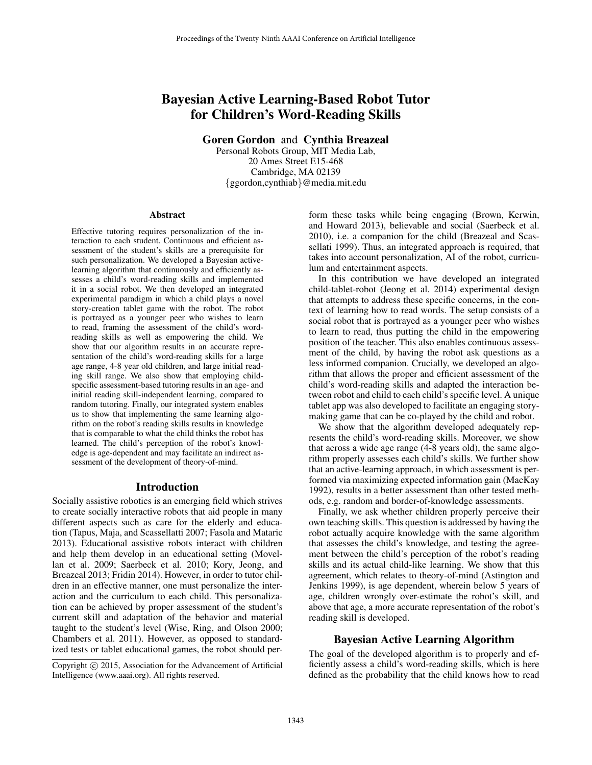# Bayesian Active Learning-Based Robot Tutor for Children's Word-Reading Skills

Goren Gordon and Cynthia Breazeal

Personal Robots Group, MIT Media Lab, 20 Ames Street E15-468 Cambridge, MA 02139 {ggordon,cynthiab}@media.mit.edu

#### Abstract

Effective tutoring requires personalization of the interaction to each student. Continuous and efficient assessment of the student's skills are a prerequisite for such personalization. We developed a Bayesian activelearning algorithm that continuously and efficiently assesses a child's word-reading skills and implemented it in a social robot. We then developed an integrated experimental paradigm in which a child plays a novel story-creation tablet game with the robot. The robot is portrayed as a younger peer who wishes to learn to read, framing the assessment of the child's wordreading skills as well as empowering the child. We show that our algorithm results in an accurate representation of the child's word-reading skills for a large age range, 4-8 year old children, and large initial reading skill range. We also show that employing childspecific assessment-based tutoring results in an age- and initial reading skill-independent learning, compared to random tutoring. Finally, our integrated system enables us to show that implementing the same learning algorithm on the robot's reading skills results in knowledge that is comparable to what the child thinks the robot has learned. The child's perception of the robot's knowledge is age-dependent and may facilitate an indirect assessment of the development of theory-of-mind.

#### Introduction

Socially assistive robotics is an emerging field which strives to create socially interactive robots that aid people in many different aspects such as care for the elderly and education (Tapus, Maja, and Scassellatti 2007; Fasola and Mataric 2013). Educational assistive robots interact with children and help them develop in an educational setting (Movellan et al. 2009; Saerbeck et al. 2010; Kory, Jeong, and Breazeal 2013; Fridin 2014). However, in order to tutor children in an effective manner, one must personalize the interaction and the curriculum to each child. This personalization can be achieved by proper assessment of the student's current skill and adaptation of the behavior and material taught to the student's level (Wise, Ring, and Olson 2000; Chambers et al. 2011). However, as opposed to standardized tests or tablet educational games, the robot should perform these tasks while being engaging (Brown, Kerwin, and Howard 2013), believable and social (Saerbeck et al. 2010), i.e. a companion for the child (Breazeal and Scassellati 1999). Thus, an integrated approach is required, that takes into account personalization, AI of the robot, curriculum and entertainment aspects.

In this contribution we have developed an integrated child-tablet-robot (Jeong et al. 2014) experimental design that attempts to address these specific concerns, in the context of learning how to read words. The setup consists of a social robot that is portrayed as a younger peer who wishes to learn to read, thus putting the child in the empowering position of the teacher. This also enables continuous assessment of the child, by having the robot ask questions as a less informed companion. Crucially, we developed an algorithm that allows the proper and efficient assessment of the child's word-reading skills and adapted the interaction between robot and child to each child's specific level. A unique tablet app was also developed to facilitate an engaging storymaking game that can be co-played by the child and robot.

We show that the algorithm developed adequately represents the child's word-reading skills. Moreover, we show that across a wide age range (4-8 years old), the same algorithm properly assesses each child's skills. We further show that an active-learning approach, in which assessment is performed via maximizing expected information gain (MacKay 1992), results in a better assessment than other tested methods, e.g. random and border-of-knowledge assessments.

Finally, we ask whether children properly perceive their own teaching skills. This question is addressed by having the robot actually acquire knowledge with the same algorithm that assesses the child's knowledge, and testing the agreement between the child's perception of the robot's reading skills and its actual child-like learning. We show that this agreement, which relates to theory-of-mind (Astington and Jenkins 1999), is age dependent, wherein below 5 years of age, children wrongly over-estimate the robot's skill, and above that age, a more accurate representation of the robot's reading skill is developed.

### Bayesian Active Learning Algorithm

The goal of the developed algorithm is to properly and efficiently assess a child's word-reading skills, which is here defined as the probability that the child knows how to read

Copyright (c) 2015, Association for the Advancement of Artificial Intelligence (www.aaai.org). All rights reserved.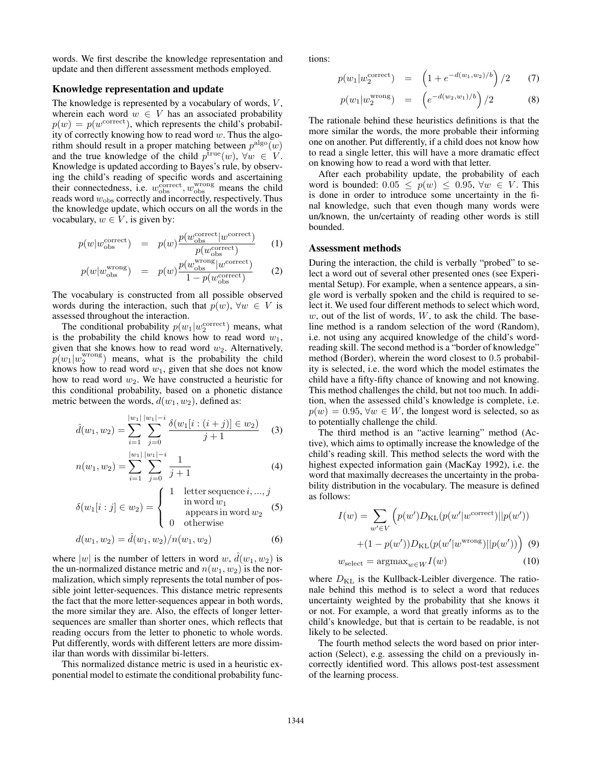words. We first describe the knowledge representation and update and then different assessment methods employed.

# Knowledge representation and update

The knowledge is represented by a vocabulary of words,  $V$ , wherein each word  $w \in V$  has an associated probability  $p(w) = p(w^{\text{correct}})$ , which represents the child's probability of correctly knowing how to read word  $w$ . Thus the algorithm should result in a proper matching between  $p^{\text{algo}}(w)$ and the true knowledge of the child  $p^{\text{true}}(w)$ ,  $\forall w \in V$ . Knowledge is updated according to Bayes's rule, by observing the child's reading of specific words and ascertaining their connectedness, i.e.  $w_{\text{obs}}^{\text{correct}}, w_{\text{obs}}^{\text{wrong}}$  means the child reads word  $w_{\text{obs}}$  correctly and incorrectly, respectively. Thus the knowledge update, which occurs on all the words in the vocabulary,  $w \in V$ , is given by:

$$
p(w|w_{\text{obs}}^{\text{correct}}) = p(w)\frac{p(w_{\text{obs}}^{\text{correct}}|w_{\text{correct}})}{p(w_{\text{obs}}^{\text{correct}})}
$$
 (1)

$$
p(w|w_{\text{obs}}^{\text{wrong}}) = p(w)\frac{p(w_{\text{obs}}^{\text{wrong}}|w_{\text{correct}}^{\text{correct}})}{1 - p(w_{\text{obs}}^{\text{correct}})}
$$
(2)

The vocabulary is constructed from all possible observed words during the interaction, such that  $p(w)$ ,  $\forall w \in V$  is assessed throughout the interaction.

The conditional probability  $p(w_1|w_2^{\text{correct}})$  means, what is the probability the child knows how to read word  $w_1$ , given that she knows how to read word  $w_2$ . Alternatively,  $p(w_1|w_2^{\text{wrong}})$  means, what is the probability the child knows how to read word  $w_1$ , given that she does not know how to read word  $w_2$ . We have constructed a heuristic for this conditional probability, based on a phonetic distance metric between the words,  $d(w_1, w_2)$ , defined as:

$$
\hat{d}(w_1, w_2) = \sum_{i=1}^{|w_1|} \sum_{j=0}^{|w_1| - i} \frac{\delta(w_1[i : (i+j)] \in w_2)}{j+1}
$$
 (3)

$$
n(w_1, w_2) = \sum_{i=1}^{|w_1|} \sum_{j=0}^{|w_1| - i} \frac{1}{j+1}
$$
 (4)

$$
\delta(w_1[i:j] \in w_2) = \begin{cases} 1 & \text{letter sequence } i, \dots, j \\ & \text{in word } w_1 \\ & \text{appears in word } w_2 \end{cases} \tag{5}
$$

$$
d(w_1, w_2) = \hat{d}(w_1, w_2) / n(w_1, w_2)
$$
\n(6)

where  $|w|$  is the number of letters in word w,  $\hat{d}(w_1, w_2)$  is the un-normalized distance metric and  $n(w_1, w_2)$  is the normalization, which simply represents the total number of possible joint letter-sequences. This distance metric represents the fact that the more letter-sequences appear in both words, the more similar they are. Also, the effects of longer lettersequences are smaller than shorter ones, which reflects that reading occurs from the letter to phonetic to whole words. Put differently, words with different letters are more dissimilar than words with dissimilar bi-letters.

This normalized distance metric is used in a heuristic exponential model to estimate the conditional probability functions:

$$
p(w_1|w_2^{\text{correct}}) = \left(1 + e^{-d(w_1, w_2)/b}\right)/2 \quad (7)
$$

$$
p(w_1|w_2^{\text{wrong}}) = \left(e^{-d(w_2, w_1)/b}\right)/2 \tag{8}
$$

The rationale behind these heuristics definitions is that the more similar the words, the more probable their informing one on another. Put differently, if a child does not know how to read a single letter, this will have a more dramatic effect on knowing how to read a word with that letter.

After each probability update, the probability of each word is bounded:  $0.05 \leq p(w) \leq 0.95$ ,  $\forall w \in V$ . This is done in order to introduce some uncertainty in the final knowledge, such that even though many words were un/known, the un/certainty of reading other words is still bounded.

#### Assessment methods

During the interaction, the child is verbally "probed" to select a word out of several other presented ones (see Experimental Setup). For example, when a sentence appears, a single word is verbally spoken and the child is required to select it. We used four different methods to select which word, w, out of the list of words,  $W$ , to ask the child. The baseline method is a random selection of the word (Random), i.e. not using any acquired knowledge of the child's wordreading skill. The second method is a "border of knowledge" method (Border), wherein the word closest to 0.5 probability is selected, i.e. the word which the model estimates the child have a fifty-fifty chance of knowing and not knowing. This method challenges the child, but not too much. In addition, when the assessed child's knowledge is complete, i.e.  $p(w) = 0.95$ ,  $\forall w \in W$ , the longest word is selected, so as to potentially challenge the child.

The third method is an "active learning" method (Active), which aims to optimally increase the knowledge of the child's reading skill. This method selects the word with the highest expected information gain (MacKay 1992), i.e. the word that maximally decreases the uncertainty in the probability distribution in the vocabulary. The measure is defined as follows:

$$
I(w) = \sum_{w' \in V} \left( p(w') D_{\text{KL}}(p(w'|w^{\text{correct}})||p(w')) + (1 - p(w')) D_{\text{KL}}(p(w'|w^{\text{wrong}})||p(w')) \right)
$$
(9)

$$
w_{\text{select}} = \text{argmax}_{w \in W} I(w) \tag{10}
$$

where  $D_{\text{KL}}$  is the Kullback-Leibler divergence. The rationale behind this method is to select a word that reduces uncertainty weighted by the probability that she knows it or not. For example, a word that greatly informs as to the child's knowledge, but that is certain to be readable, is not likely to be selected.

The fourth method selects the word based on prior interaction (Select), e.g. assessing the child on a previously incorrectly identified word. This allows post-test assessment of the learning process.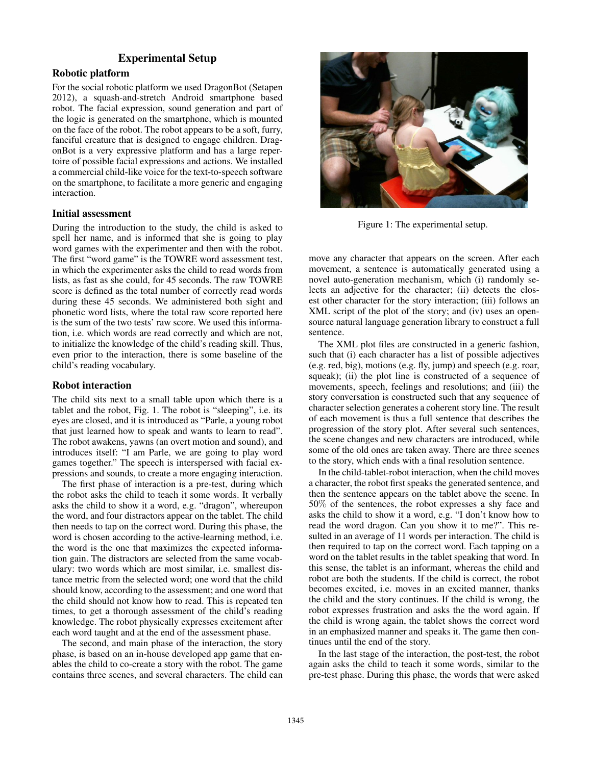# Experimental Setup

# Robotic platform

For the social robotic platform we used DragonBot (Setapen 2012), a squash-and-stretch Android smartphone based robot. The facial expression, sound generation and part of the logic is generated on the smartphone, which is mounted on the face of the robot. The robot appears to be a soft, furry, fanciful creature that is designed to engage children. DragonBot is a very expressive platform and has a large repertoire of possible facial expressions and actions. We installed a commercial child-like voice for the text-to-speech software on the smartphone, to facilitate a more generic and engaging interaction.

## Initial assessment

During the introduction to the study, the child is asked to spell her name, and is informed that she is going to play word games with the experimenter and then with the robot. The first "word game" is the TOWRE word assessment test, in which the experimenter asks the child to read words from lists, as fast as she could, for 45 seconds. The raw TOWRE score is defined as the total number of correctly read words during these 45 seconds. We administered both sight and phonetic word lists, where the total raw score reported here is the sum of the two tests' raw score. We used this information, i.e. which words are read correctly and which are not, to initialize the knowledge of the child's reading skill. Thus, even prior to the interaction, there is some baseline of the child's reading vocabulary.

# Robot interaction

The child sits next to a small table upon which there is a tablet and the robot, Fig. 1. The robot is "sleeping", i.e. its eyes are closed, and it is introduced as "Parle, a young robot that just learned how to speak and wants to learn to read". The robot awakens, yawns (an overt motion and sound), and introduces itself: "I am Parle, we are going to play word games together." The speech is interspersed with facial expressions and sounds, to create a more engaging interaction.

The first phase of interaction is a pre-test, during which the robot asks the child to teach it some words. It verbally asks the child to show it a word, e.g. "dragon", whereupon the word, and four distractors appear on the tablet. The child then needs to tap on the correct word. During this phase, the word is chosen according to the active-learning method, i.e. the word is the one that maximizes the expected information gain. The distractors are selected from the same vocabulary: two words which are most similar, i.e. smallest distance metric from the selected word; one word that the child should know, according to the assessment; and one word that the child should not know how to read. This is repeated ten times, to get a thorough assessment of the child's reading knowledge. The robot physically expresses excitement after each word taught and at the end of the assessment phase.

The second, and main phase of the interaction, the story phase, is based on an in-house developed app game that enables the child to co-create a story with the robot. The game contains three scenes, and several characters. The child can



Figure 1: The experimental setup.

move any character that appears on the screen. After each movement, a sentence is automatically generated using a novel auto-generation mechanism, which (i) randomly selects an adjective for the character; (ii) detects the closest other character for the story interaction; (iii) follows an XML script of the plot of the story; and (iv) uses an opensource natural language generation library to construct a full sentence.

The XML plot files are constructed in a generic fashion, such that (i) each character has a list of possible adjectives (e.g. red, big), motions (e.g. fly, jump) and speech (e.g. roar, squeak); (ii) the plot line is constructed of a sequence of movements, speech, feelings and resolutions; and (iii) the story conversation is constructed such that any sequence of character selection generates a coherent story line. The result of each movement is thus a full sentence that describes the progression of the story plot. After several such sentences, the scene changes and new characters are introduced, while some of the old ones are taken away. There are three scenes to the story, which ends with a final resolution sentence.

In the child-tablet-robot interaction, when the child moves a character, the robot first speaks the generated sentence, and then the sentence appears on the tablet above the scene. In 50% of the sentences, the robot expresses a shy face and asks the child to show it a word, e.g. "I don't know how to read the word dragon. Can you show it to me?". This resulted in an average of 11 words per interaction. The child is then required to tap on the correct word. Each tapping on a word on the tablet results in the tablet speaking that word. In this sense, the tablet is an informant, whereas the child and robot are both the students. If the child is correct, the robot becomes excited, i.e. moves in an excited manner, thanks the child and the story continues. If the child is wrong, the robot expresses frustration and asks the the word again. If the child is wrong again, the tablet shows the correct word in an emphasized manner and speaks it. The game then continues until the end of the story.

In the last stage of the interaction, the post-test, the robot again asks the child to teach it some words, similar to the pre-test phase. During this phase, the words that were asked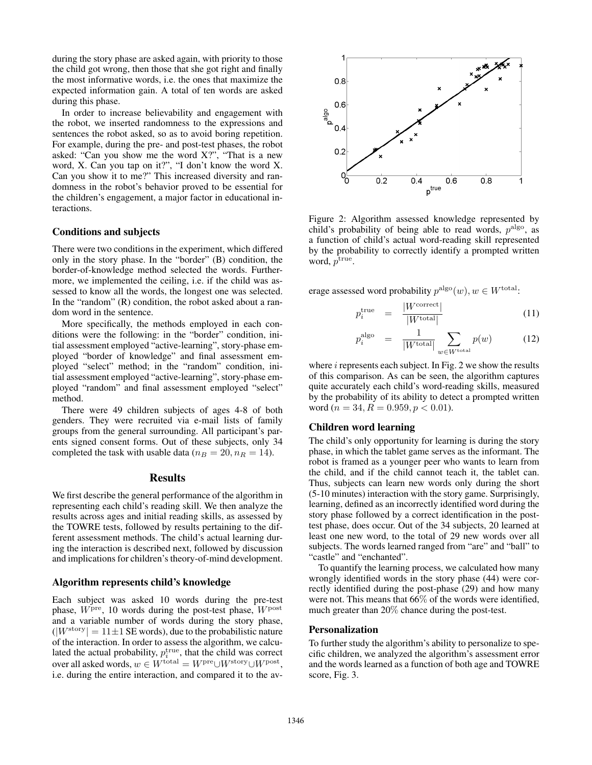during the story phase are asked again, with priority to those the child got wrong, then those that she got right and finally the most informative words, i.e. the ones that maximize the expected information gain. A total of ten words are asked during this phase.

In order to increase believability and engagement with the robot, we inserted randomness to the expressions and sentences the robot asked, so as to avoid boring repetition. For example, during the pre- and post-test phases, the robot asked: "Can you show me the word X?", "That is a new word, X. Can you tap on it?", "I don't know the word X. Can you show it to me?" This increased diversity and randomness in the robot's behavior proved to be essential for the children's engagement, a major factor in educational interactions.

#### Conditions and subjects

There were two conditions in the experiment, which differed only in the story phase. In the "border" (B) condition, the border-of-knowledge method selected the words. Furthermore, we implemented the ceiling, i.e. if the child was assessed to know all the words, the longest one was selected. In the "random" (R) condition, the robot asked about a random word in the sentence.

More specifically, the methods employed in each conditions were the following: in the "border" condition, initial assessment employed "active-learning", story-phase employed "border of knowledge" and final assessment employed "select" method; in the "random" condition, initial assessment employed "active-learning", story-phase employed "random" and final assessment employed "select" method.

There were 49 children subjects of ages 4-8 of both genders. They were recruited via e-mail lists of family groups from the general surrounding. All participant's parents signed consent forms. Out of these subjects, only 34 completed the task with usable data ( $n_B = 20, n_R = 14$ ).

# **Results**

We first describe the general performance of the algorithm in representing each child's reading skill. We then analyze the results across ages and initial reading skills, as assessed by the TOWRE tests, followed by results pertaining to the different assessment methods. The child's actual learning during the interaction is described next, followed by discussion and implications for children's theory-of-mind development.

#### Algorithm represents child's knowledge

Each subject was asked 10 words during the pre-test phase,  $W<sup>pre</sup>$ , 10 words during the post-test phase,  $W<sup>post</sup>$ and a variable number of words during the story phase,  $(|W^{\text{story}}| = 11 \pm 1$  SE words), due to the probabilistic nature of the interaction. In order to assess the algorithm, we calculated the actual probability,  $p_i^{\text{true}}$ , that the child was correct over all asked words,  $w \in W^{\text{total}} = W^{\text{pre}} \cup W^{\text{story}} \cup W^{\text{post}}$ , i.e. during the entire interaction, and compared it to the av-



Figure 2: Algorithm assessed knowledge represented by child's probability of being able to read words,  $p<sup>algo</sup>$ , as a function of child's actual word-reading skill represented by the probability to correctly identify a prompted written word,  $p^{\text{true}}$ .

erage assessed word probability  $p^{algo}(w)$ ,  $w \in W^{\text{total}}$ :

$$
p_i^{\text{true}} = \frac{|W^{\text{correct}}|}{|W^{\text{total}}|} \tag{11}
$$

$$
p_i^{\text{algo}} = \frac{1}{|W^{\text{total}}|} \sum_{w \in W^{\text{total}}} p(w) \tag{12}
$$

where  $i$  represents each subject. In Fig. 2 we show the results of this comparison. As can be seen, the algorithm captures quite accurately each child's word-reading skills, measured by the probability of its ability to detect a prompted written word ( $n = 34, R = 0.959, p < 0.01$ ).

### Children word learning

The child's only opportunity for learning is during the story phase, in which the tablet game serves as the informant. The robot is framed as a younger peer who wants to learn from the child, and if the child cannot teach it, the tablet can. Thus, subjects can learn new words only during the short (5-10 minutes) interaction with the story game. Surprisingly, learning, defined as an incorrectly identified word during the story phase followed by a correct identification in the posttest phase, does occur. Out of the 34 subjects, 20 learned at least one new word, to the total of 29 new words over all subjects. The words learned ranged from "are" and "ball" to "castle" and "enchanted".

To quantify the learning process, we calculated how many wrongly identified words in the story phase (44) were correctly identified during the post-phase (29) and how many were not. This means that 66% of the words were identified, much greater than 20% chance during the post-test.

#### Personalization

To further study the algorithm's ability to personalize to specific children, we analyzed the algorithm's assessment error and the words learned as a function of both age and TOWRE score, Fig. 3.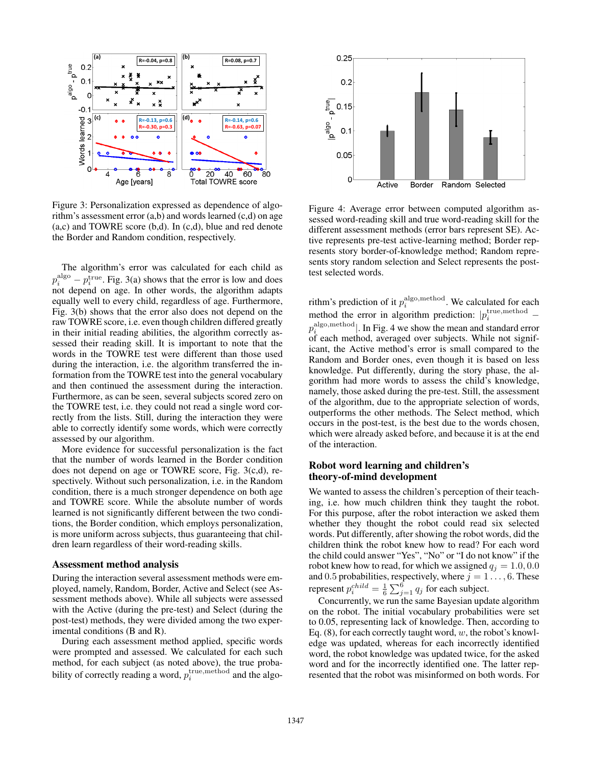

Figure 3: Personalization expressed as dependence of algorithm's assessment error  $(a,b)$  and words learned  $(c,d)$  on age (a,c) and TOWRE score (b,d). In (c,d), blue and red denote the Border and Random condition, respectively.

The algorithm's error was calculated for each child as  $p_i^{\text{algo}} - p_i^{\text{true}}$ . Fig. 3(a) shows that the error is low and does not depend on age. In other words, the algorithm adapts equally well to every child, regardless of age. Furthermore, Fig. 3(b) shows that the error also does not depend on the raw TOWRE score, i.e. even though children differed greatly in their initial reading abilities, the algorithm correctly assessed their reading skill. It is important to note that the words in the TOWRE test were different than those used during the interaction, i.e. the algorithm transferred the information from the TOWRE test into the general vocabulary and then continued the assessment during the interaction. Furthermore, as can be seen, several subjects scored zero on the TOWRE test, i.e. they could not read a single word correctly from the lists. Still, during the interaction they were able to correctly identify some words, which were correctly assessed by our algorithm.

More evidence for successful personalization is the fact that the number of words learned in the Border condition does not depend on age or TOWRE score, Fig. 3(c,d), respectively. Without such personalization, i.e. in the Random condition, there is a much stronger dependence on both age and TOWRE score. While the absolute number of words learned is not significantly different between the two conditions, the Border condition, which employs personalization, is more uniform across subjects, thus guaranteeing that children learn regardless of their word-reading skills.

#### Assessment method analysis

During the interaction several assessment methods were employed, namely, Random, Border, Active and Select (see Assessment methods above). While all subjects were assessed with the Active (during the pre-test) and Select (during the post-test) methods, they were divided among the two experimental conditions (B and R).

During each assessment method applied, specific words were prompted and assessed. We calculated for each such method, for each subject (as noted above), the true probability of correctly reading a word,  $p_i^{\text{true}, \text{method}}$  and the algo-



Figure 4: Average error between computed algorithm assessed word-reading skill and true word-reading skill for the different assessment methods (error bars represent SE). Active represents pre-test active-learning method; Border represents story border-of-knowledge method; Random represents story random selection and Select represents the posttest selected words.

rithm's prediction of it  $p_i^{\text{algo}, \text{method}}$ . We calculated for each method the error in algorithm prediction:  $|p_i^{\text{true}, \text{method}}|$  $p_i^{\text{algo}, \text{method}}|$ . In Fig. 4 we show the mean and standard error of each method, averaged over subjects. While not significant, the Active method's error is small compared to the Random and Border ones, even though it is based on less knowledge. Put differently, during the story phase, the algorithm had more words to assess the child's knowledge, namely, those asked during the pre-test. Still, the assessment of the algorithm, due to the appropriate selection of words, outperforms the other methods. The Select method, which occurs in the post-test, is the best due to the words chosen, which were already asked before, and because it is at the end of the interaction.

## Robot word learning and children's theory-of-mind development

We wanted to assess the children's perception of their teaching, i.e. how much children think they taught the robot. For this purpose, after the robot interaction we asked them whether they thought the robot could read six selected words. Put differently, after showing the robot words, did the children think the robot knew how to read? For each word the child could answer "Yes", "No" or "I do not know" if the robot knew how to read, for which we assigned  $q_j = 1.0, 0.0$ and 0.5 probabilities, respectively, where  $j = 1 \ldots, 6$ . These represent  $p_i^{child} = \frac{1}{6} \sum_{j=1}^6 q_j$  for each subject.

Concurrently, we run the same Bayesian update algorithm on the robot. The initial vocabulary probabilities were set to 0.05, representing lack of knowledge. Then, according to Eq.  $(8)$ , for each correctly taught word, w, the robot's knowledge was updated, whereas for each incorrectly identified word, the robot knowledge was updated twice, for the asked word and for the incorrectly identified one. The latter represented that the robot was misinformed on both words. For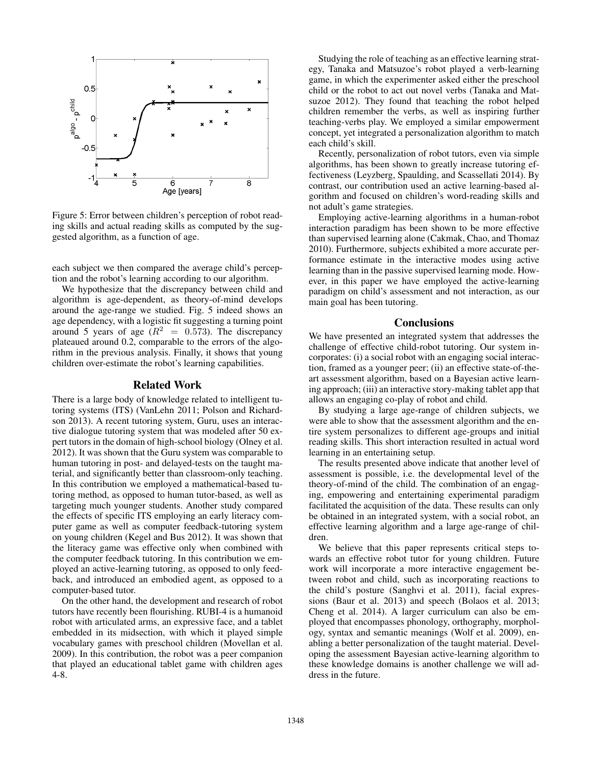

Figure 5: Error between children's perception of robot reading skills and actual reading skills as computed by the suggested algorithm, as a function of age.

each subject we then compared the average child's perception and the robot's learning according to our algorithm.

We hypothesize that the discrepancy between child and algorithm is age-dependent, as theory-of-mind develops around the age-range we studied. Fig. 5 indeed shows an age dependency, with a logistic fit suggesting a turning point around 5 years of age  $(R^2 = 0.573)$ . The discrepancy plateaued around 0.2, comparable to the errors of the algorithm in the previous analysis. Finally, it shows that young children over-estimate the robot's learning capabilities.

### Related Work

There is a large body of knowledge related to intelligent tutoring systems (ITS) (VanLehn 2011; Polson and Richardson 2013). A recent tutoring system, Guru, uses an interactive dialogue tutoring system that was modeled after 50 expert tutors in the domain of high-school biology (Olney et al. 2012). It was shown that the Guru system was comparable to human tutoring in post- and delayed-tests on the taught material, and significantly better than classroom-only teaching. In this contribution we employed a mathematical-based tutoring method, as opposed to human tutor-based, as well as targeting much younger students. Another study compared the effects of specific ITS employing an early literacy computer game as well as computer feedback-tutoring system on young children (Kegel and Bus 2012). It was shown that the literacy game was effective only when combined with the computer feedback tutoring. In this contribution we employed an active-learning tutoring, as opposed to only feedback, and introduced an embodied agent, as opposed to a computer-based tutor.

On the other hand, the development and research of robot tutors have recently been flourishing. RUBI-4 is a humanoid robot with articulated arms, an expressive face, and a tablet embedded in its midsection, with which it played simple vocabulary games with preschool children (Movellan et al. 2009). In this contribution, the robot was a peer companion that played an educational tablet game with children ages 4-8.

Studying the role of teaching as an effective learning strategy, Tanaka and Matsuzoe's robot played a verb-learning game, in which the experimenter asked either the preschool child or the robot to act out novel verbs (Tanaka and Matsuzoe 2012). They found that teaching the robot helped children remember the verbs, as well as inspiring further teaching-verbs play. We employed a similar empowerment concept, yet integrated a personalization algorithm to match each child's skill.

Recently, personalization of robot tutors, even via simple algorithms, has been shown to greatly increase tutoring effectiveness (Leyzberg, Spaulding, and Scassellati 2014). By contrast, our contribution used an active learning-based algorithm and focused on children's word-reading skills and not adult's game strategies.

Employing active-learning algorithms in a human-robot interaction paradigm has been shown to be more effective than supervised learning alone (Cakmak, Chao, and Thomaz 2010). Furthermore, subjects exhibited a more accurate performance estimate in the interactive modes using active learning than in the passive supervised learning mode. However, in this paper we have employed the active-learning paradigm on child's assessment and not interaction, as our main goal has been tutoring.

### **Conclusions**

We have presented an integrated system that addresses the challenge of effective child-robot tutoring. Our system incorporates: (i) a social robot with an engaging social interaction, framed as a younger peer; (ii) an effective state-of-theart assessment algorithm, based on a Bayesian active learning approach; (iii) an interactive story-making tablet app that allows an engaging co-play of robot and child.

By studying a large age-range of children subjects, we were able to show that the assessment algorithm and the entire system personalizes to different age-groups and initial reading skills. This short interaction resulted in actual word learning in an entertaining setup.

The results presented above indicate that another level of assessment is possible, i.e. the developmental level of the theory-of-mind of the child. The combination of an engaging, empowering and entertaining experimental paradigm facilitated the acquisition of the data. These results can only be obtained in an integrated system, with a social robot, an effective learning algorithm and a large age-range of children.

We believe that this paper represents critical steps towards an effective robot tutor for young children. Future work will incorporate a more interactive engagement between robot and child, such as incorporating reactions to the child's posture (Sanghvi et al. 2011), facial expressions (Baur et al. 2013) and speech (Bolaos et al. 2013; Cheng et al. 2014). A larger curriculum can also be employed that encompasses phonology, orthography, morphology, syntax and semantic meanings (Wolf et al. 2009), enabling a better personalization of the taught material. Developing the assessment Bayesian active-learning algorithm to these knowledge domains is another challenge we will address in the future.